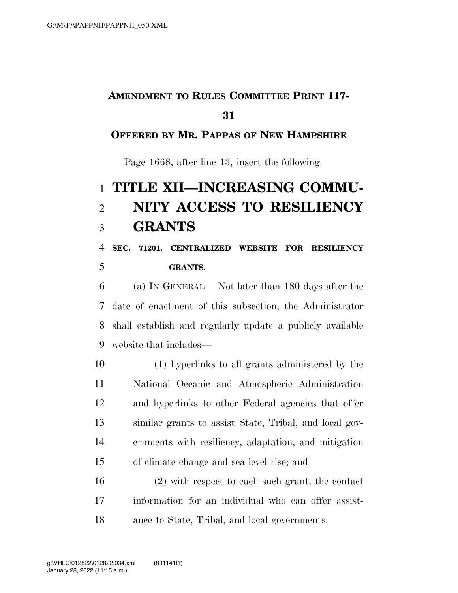# **AMENDMENT TO RULES COMMITTEE PRINT 117-**

#### **OFFERED BY MR. PAPPAS OF NEW HAMPSHIRE**

Page 1668, after line 13, insert the following:

# **TITLE XII—INCREASING COMMU- NITY ACCESS TO RESILIENCY GRANTS**

### **SEC. 71201. CENTRALIZED WEBSITE FOR RESILIENCY GRANTS.**

 (a) IN GENERAL.—Not later than 180 days after the date of enactment of this subsection, the Administrator shall establish and regularly update a publicly available website that includes—

 (1) hyperlinks to all grants administered by the National Oceanic and Atmospheric Administration and hyperlinks to other Federal agencies that offer similar grants to assist State, Tribal, and local gov- ernments with resiliency, adaptation, and mitigation of climate change and sea level rise; and

 (2) with respect to each such grant, the contact information for an individual who can offer assist-ance to State, Tribal, and local governments.